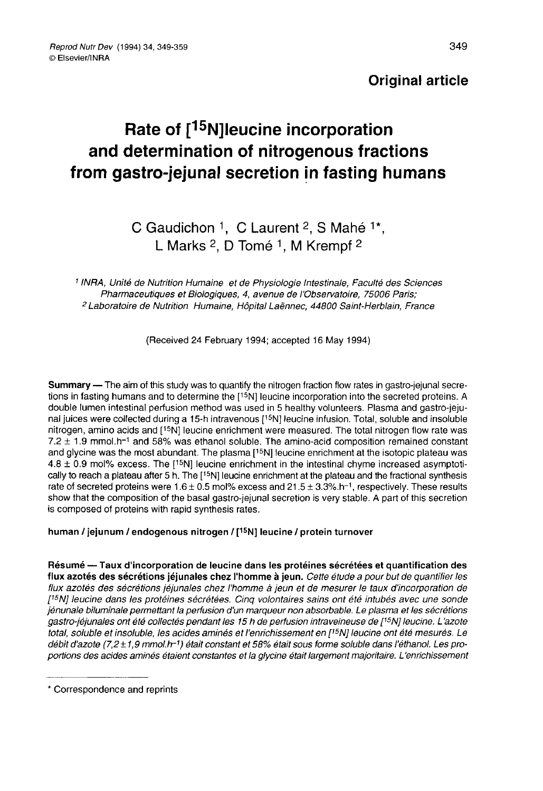# **Original article**

# Reprod Nutr Dev (1994) 34, 349-359<br>
© Elsevier/INRA<br> **Rate of [<sup>15</sup>N]leucine incorporation** and determination of nitrogenous fractions from gastro-jejunal secretion in fasting humans

# C Gaudichon <sup>1</sup>, C Laurent <sup>2</sup>, S Mahé <sup>1\*</sup>, L Marks <sup>2</sup>. D Tomé <sup>1</sup>, M Krempf <sup>2</sup>

<sup>1</sup> INRA, Unité de Nutrition Humaine et de Physiologie Intestinale, Faculté des Sciences Pharmaceutiques et Biologiques, 4, avenue de l'Observatoire, 75006 Paris; <sup>2</sup> Laboratoire de Nutrition Humaine, Hôpital Laënnec, 44800 Saint-Herblain, France

(Received 24 February 1994; accepted 16 May 1994)

Summary — The aim of this study was to quantify the nitrogen fraction flow rates in gastro-jejunal secretions in fasting humans and to determine the [15N] leucine incorporation into the secreted proteins. A double lumen intestinal perfusion method was used in 5 healthy volunteers. Plasma and gastro-jejunal juices were collected during a 15-h intravenous [<sup>15</sup>N] leucine infusion. Total, soluble and insoluble<br>nitrogen, amino acids and [<sup>15</sup>N] leucine enrichment were measured. The total nitrogen flow rate was<br>7.2 + 1.9 mmol tions in fasting numans and to determine the  $[19N]$  leucine incorporation into the secreted proteins. A<br>double lumen intestinal perfusion method was used in 5 healthy volunteers. Plasma and gastro-jeju-<br>nal juices were c 4.8  $\pm$  0.9 mol% excess. The [<sup>15</sup>N] leucine enrichment in the intestinal chyme increased asymptotically to reach a plateau after 5 h. The [<sup>15</sup>N] leucine enrichment at the plateau and the fractional synthesis rate of se show that the composition of the basal gastro-jejunal secretion is very stable. A part of this secretion is composed of proteins with rapid synthesis rates.

#### human / jejunum / endogenous nitrogen / [15N] leucine / protein turnover

Résumé - Taux d'incorporation de leucine dans les protéines sécrétées et quantification des flux azotés des sécrétions jéjunales chez l'homme à jeun. Cette étude a pour but de quantifier les flux azotés des sécrétions jéjunales chez l'homme à jeun et de mesurer le taux d'incorporation de ('SN] leucine dans les protéines sécrétées. Cinq volontaires sains ont été intubés avec une sonde jénunale bituminale permettant la perfusion d'un marqueur non absorbable. Le plasma et les sécrétions gastro-jéjunale biluminale permettant la perfusion d'un marqueur non absorbable. Le plasma et les sécrétions<br>gastro-jéjunales ont été collectés pendant les 15 h de perfusion intraveineuse de [<sup>15</sup>N] leucine. L'azote<br>total, tenunaie blianiniale permetian, la penusion d'urrinalqueur non absoludible. Le plasma et les secretions<br>total, soluble et insoluble, les acides aminés et l'enrichissement en (1<sup>5</sup>N) leucine ont été mesurés. Le<br>débit d'azet total, soluble et insoluble, les acides aminés et l'enrichissement en [15N] leucine ont été mesurés. Le<br>débit d'azote (7,2±1,9 mmol.h-1) était constant et 58% était sous forme soluble dans l'éthanol. Les proportions des acides aminés étaient constantes et la glycine était largement majoritaire. L'enrichissement

<sup>\*</sup> Correspondence and reprints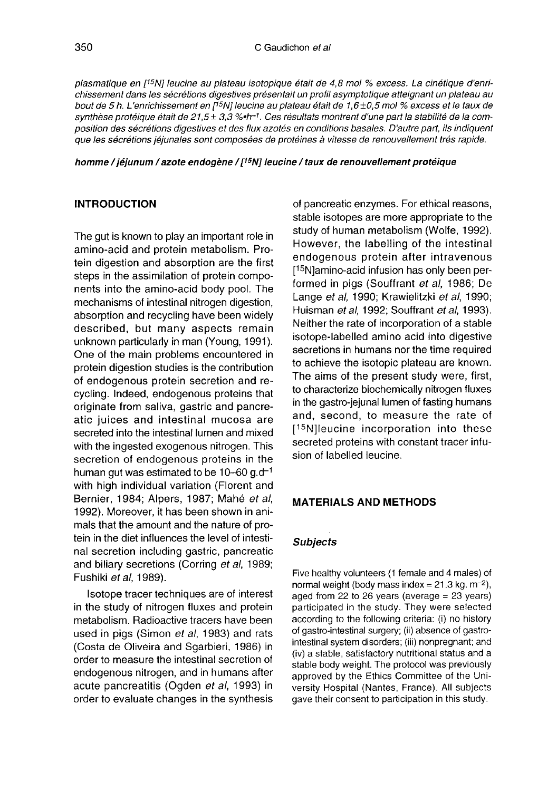plasmatique en [<sup>15</sup>N] leucine au plateau isotopique était de 4,8 mol % excess. La cinétique d'enrichissement dans les sécrétions digestives présentait un profil asymptotique atteignant un plateau au biasinalique en [15] leucine au plateau isotopique etait de 4,6 mol 70 excess. La cineaque d'enfinition division division division de 5 h. L'enrichissement dans les sécrétions digistives présentait un profil asynthèse prot position des sécrétions digestives et des flux azotés en conditions basales. D'autre part, ils indiquent que les sécrétions jéjunales sont composées de protéines à vitesse de renouvellement très rapide.

homme / jéjunum / azote endogène / [<sup>15</sup>N] leucine / taux de renouvellement protéique

# INTRODUCTION

The gut is known to play an important role in amino-acid and protein metabolism. Protein digestion and absorption are the first steps in the assimilation of protein components into the amino-acid body pool. The mechanisms of intestinal nitrogen digestion, absorption and recycling have been widely described, but many aspects remain unknown particularly in man (Young, 1991). One of the main problems encountered in protein digestion studies is the contribution of endogenous protein secretion and recycling. Indeed, endogenous proteins that originate from saliva, gastric and pancreatic juices and intestinal mucosa are secreted into the intestinal lumen and mixed with the ingested exogenous nitrogen. This secretion of endogenous proteins in the human gut was estimated to be  $10-60$  g.d<sup>-1</sup> with high individual variation (Florent and Bernier, 1984; Alpers, 1987; Mahé et al, 1992). Moreover, it has been shown in animals that the amount and the nature of protein in the diet influences the level of intestinal secretion including gastric, pancreatic and biliary secretions (Corring et al, 1989; Fushiki ef al, 1989).

Isotope tracer techniques are of interest in the study of nitrogen fluxes and protein metabolism. Radioactive tracers have been used in pigs (Simon et al, 1983) and rats (Costa de Oliveira and Sgarbieri, 1986) in order to measure the intestinal secretion of endogenous nitrogen, and in humans after acute pancreatitis (Ogden et al, 1993) in order to evaluate changes in the synthesis of pancreatic enzymes. For ethical reasons, stable isotopes are more appropriate to the study of human metabolism (Wolfe, 1992). However, the labelling of the intestinal endogenous protein after intravenous of pancreatic er<br>stable isotopes<br>study of human<br>However, the<br>endogenous p<br>[<sup>15</sup>N]amino-acid<br>formed in pigs<br>Lange *et al*. 19 15N]amino-acid infusion has only been performed in pigs (Souffrant et al, 1986; De Lange et al, 1990; Krawielitzki et al, 1990; Huisman et al, 1992; Souffrant et al, 1993). Neither the rate of incorporation of a stable isotope-labelled amino acid into digestive secretions in humans nor the time required to achieve the isotopic plateau are known. The aims of the present study were, first, to characterize biochemically nitrogen fluxes in the gastro-jejunal lumen of fasting humans and, second, to measure the rate of to achieve the<br>The aims of<br>The aims of<br>to characterize<br>in the gastro-just<br>and, second<br>secreted proticion of labellaring in the gastro-jejunal lumen of fasting humans<br>and, second, to measure the rate of<br>[<sup>15</sup>N]leucine incorporation into these<br>secreted proteins with constant tracer infusecreted proteins with constant tracer infusion of labelled leucine.

#### MATERIALS AND METHODS

#### **Subjects**

Five healthy volunteers (1 female and 4 males) of<br>normal weight (body mass index = 21.3 kg. m<sup>-2</sup>),<br>pand from 22 to 26 years (average = 23 years) aged from 22 to 26 years (average = 23 years) participated in the study. They were selected according to the following criteria: (i) no history of gastro-intestinal surgery; (ii) absence of gastrointestinal system disorders; (iii) nonpregnant; and (iv) a stable, satisfactory nutritional status and a stable body weight. The protocol was previously approved by the Ethics Committee of the University Hospital (Nantes, France). All subjects gave their consent to participation in this study.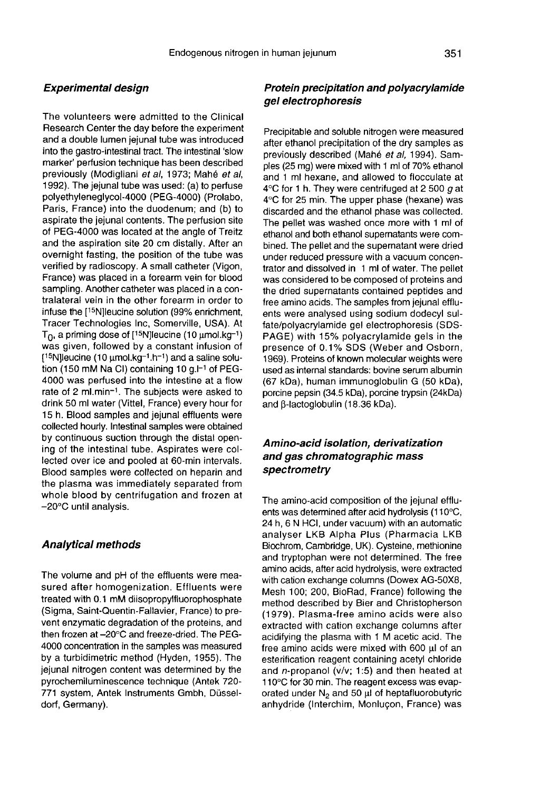#### Experimental design

The volunteers were admitted to the Clinical Research Center the day before the experiment and a double lumen jejunal tube was introduced into the gastro-intestinal tract. The intestinal 'slow marker' perfusion technique has been described previously (Modigliani et al, 1973; Mahé et al, 1992). The jejunal tube was used: (a) to perfuse polyethyleneglycol-4000 (PEG-4000) (Prolabo, Paris, France) into the duodenum; and (b) to aspirate the jejunal contents. The perfusion site of PEG-4000 was located at the angle of Treitz and the aspiration site 20 cm distally. After an overnight fasting, the position of the tube was verified by radioscopy. A small catheter (Vigon, France) was placed in a forearm vein for blood sampling. Another catheter was placed in a contralateral vein in the other forearm in order to infuse the [15N]leucine solution (99% enrichment, Tracer Technologies Inc, Somerville, USA). At  $\mathsf{T}_{\mathsf{O}}$ , a priming dose of [15N]leucine (10  $\mathsf{p}$ sampling. Another catheter was placed in a contralateral vein in the other forearm in order to<br>infuse the [<sup>15</sup>N]leucine solution (99% enrichment,<br>Tracer Technologies Inc, Somerville, USA). At<br>T<sub>0</sub>, a priming dose of [<sup>15</sup> placed in a torearm<br>other catheter was planet<br>illeucine solution (99<br>lologies Inc, Somerv<br>dose of [<sup>15</sup>N]leucine (<br>illowed by a consta sampling. Another catheter was placed in a con-<br>tralateral vein in the other forearm in order to<br>infuse the [<sup>15</sup>N]leucine solution (99% enrichment,<br>Tracer Technologies Inc, Somerville, USA). At<br>T<sub>0</sub>, a priming dose of [<sup>1</sup>  $[15N]$ leucine (10 µmol.kg $^{-1}$ .h $^{-1}$ ) and a saline solution (150 mM Na CI) containing 10 g.l $^{-1}$  of PEG-4000 was perfused into the intestine at a flow rate of 2 ml.min-!. The subjects were asked to drink 50 ml water (Vittel, France) every hour for 15 h. Blood samples and jejunal effluents were collected hourly. Intestinal samples were obtained by continuous suction through the distal opening of the intestinal tube. Aspirates were collected over ice and pooled at 60-min intervals. Blood samples were collected on heparin and the plasma was immediately separated from whole blood by centrifugation and frozen at -20°C until analysis.

#### Analytical methods

The volume and pH of the effluents were measured after homogenization. Effluents were treated with 0.1 mM diisopropylfluorophosphate (Sigma, Saint-Quentin-Fallavier, France) to prevent enzymatic degradation of the proteins, and then frozen at-20°C and freeze-dried. The PEG-4000 concentration in the samples was measured by a turbidimetric method (Hyden, 1955). The jejunal nitrogen content was determined by the pyrochemiluminescence technique (Antek 720- 771 system, Antek Instruments Gmbh, Düsseldorf, Germany).

#### Protein precipitation and polyacrylamide gel electrophoresis

Precipitable and soluble nitrogen were measured after ethanol precipitation of the dry samples as previously described (Mahé et al, 1994). Samples (25 mg) were mixed with 1 ml of 70% ethanol and 1 ml hexane, and allowed to flocculate at 4°C for 1 h. They were centrifuged at 2 500 g at 4°C for 25 min. The upper phase (hexane) was discarded and the ethanol phase was collected. The pellet was washed once more with 1 ml of ethanol and both ethanol supernatants were combined. The pellet and the supernatant were dried under reduced pressure with a vacuum concentrator and dissolved in 1 ml of water. The pellet was considered to be composed of proteins and the dried supernatants contained peptides and free amino acids. The samples from jejunal effluents were analysed using sodium dodecyl sulfate/polyacrylamide gel electrophoresis (SDS-PAGE) with 15% polyacrylamide gels in the presence of 0.1% SDS (Weber and Osborn, 1969). Proteins of known molecular weights were used as internal standards: bovine serum albumin (67 kDa), human immunoglobulin G (50 kDa), porcine pepsin (34.5 kDa), porcine trypsin (24kDa) and  $\beta$ -lactoglobulin (18.36 kDa).

# Amino-acid isolation, derivafization and gas chromatographic mass spectrometry

The amino-acid composition of the jejunal effluents was determined after acid hydrolysis (110°C, 24 h, 6 N HCI, under vacuum) with an automatic analyser LKB Alpha Plus (Pharmacia LKB Biochrom, Cambridge, UK). Cysteine, methionine and tryptophan were not determined. The free amino acids, after acid hydrolysis, were extracted with cation exchange columns (Dowex AG-50X8, Mesh 100; 200, BioRad, France) following the method described by Bier and Christopherson (1979). Plasma-free amino acids were also extracted with cation exchange columns after acidifying the plasma with 1 M acetic acid. The free amino acids were mixed with 600 µl of an esterification reagent containing acetyl chloride and  $n$ -propanol (v/v; 1:5) and then heated at 110°C for 30 min. The reagent excess was evaporated under  $N_2$  and 50  $\mu$ l of heptafluorobutyric anhydride (Interchim, Monlugon, France) was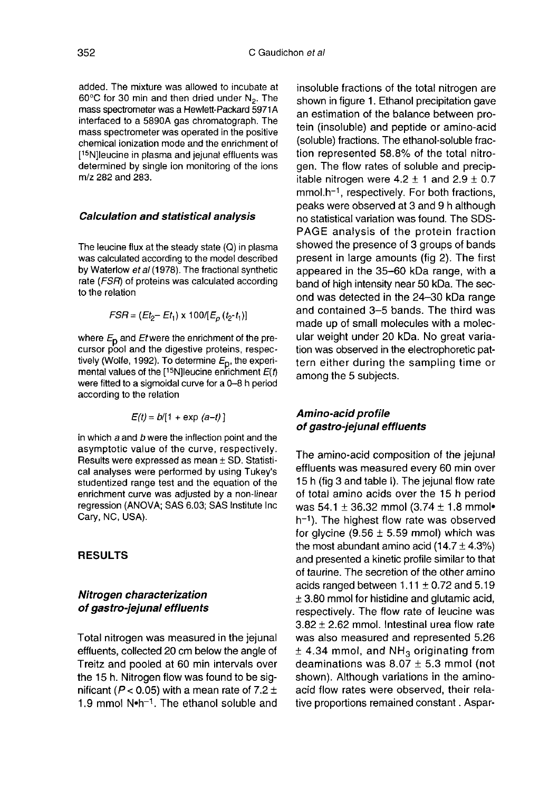added. The mixture was allowed to incubate at  $60^{\circ}$ C for 30 min and then dried under N<sub>2</sub>. The mass spectrometer was a Hewlett-Packard 5971A interfaced to a 5890A gas chromatograph. The mass spectrometer was operated in the positive chemical ionization mode and the enrichment of 60°C for 30<br>mass spectr<br>interfaced to<br>mass spectr<br>chemical ior<br>[<sup>15</sup>N]leucine<br>determined mass spectrometer was operated in the positive<br>chemical ionization mode and the enrichment of<br>[<sup>15</sup>N]leucine in plasma and jejunal effluents was<br>determined by single ion monitoring of the ions determined by single ion monitoring of the ions m/z 282 and 283.

#### Calculation and statistical analysis

The leucine flux at the steady state (Q) in plasma was calculated according to the model described by Waterlow et al (1978). The fractional synthetic rate  $(FSR)$  of proteins was calculated according to the relation

$$
FSR = (Et_2 - Et_1) \times 100/[E_0(t_2-t_1)]
$$

where  $E_p$  and Etwere the enrichment of the precursor pool and the digestive proteins, respectively (Wolfe, 1992). To determine  $E_{\text{D}}$ , the experimental values of the  $[15N]$ leucine enrichment  $E(t)$ were fitted to a sigmoidal curve for a 0-8 h period according to the relation

$$
E(t) = b/[1 + \exp(a-t)]
$$

in which  $a$  and  $b$  were the inflection point and the asymptotic value of the curve, respectively. Results were expressed as mean ± SD. Statistical analyses were performed by using Tukey's studentized range test and the equation of the enrichment curve was adjusted by a non-linear regression (ANOVA; SAS 6.03; SAS Institute Inc Cary, NC, USA).

#### RESULTS

# Nitrogen characterization of gastro-jejunal effluents

Total nitrogen was measured in the jejunal effluents, collected 20 cm below the angle of Treitz and pooled at 60 min intervals over the 15 h. Nitrogen flow was found to be significant ( $P$ < 0.05) with a mean rate of 7.2  $\pm$ the 15 h. Nitrogen flow was found to be significant (*P* < 0.05) with a mean rate of 7.2  $\pm$ <br>1.9 mmol N•h<sup>-1</sup>. The ethanol soluble and

insoluble fractions of the total nitrogen are shown in figure 1. Ethanol precipitation gave an estimation of the balance between protein (insoluble) and peptide or amino-acid (soluble) fractions. The ethanol-soluble fraction represented 58.8% of the total nitrogen. The flow rates of soluble and precipitable nitrogen were 4.2  $\pm$  1 and 2.9  $\pm$  0.7  $\,$ (soluble) fractions. The ethanol-soluble fraction represented 58.8% of the total nitrogen. The flow rates of soluble and precipitable nitrogen were  $4.2 \pm 1$  and  $2.9 \pm 0.7$ mmol.h<sup>-1</sup>, respectively. For both fractions, pe peaks were observed at 3 and 9 h although no statistical variation was found. The SDS-PAGE analysis of the protein fraction showed the presence of 3 groups of bands present in large amounts (fig 2). The first appeared in the 35-60 kDa range, with a band of high intensity near 50 kDa. The second was detected in the 24-30 kDa range and contained 3-5 bands. The third was made up of small molecules with a molecular weight under 20 kDa. No great variation was observed in the electrophoretic pat tern either during the sampling time or among the 5 subjects.

# Amino-acid profile of gastro-jejunal effluents

The amino-acid composition of the jejunal effluents was measured every 60 min over 15 h (fig 3 and table I). The jejunal flow rate of total amino acids over the 15 h period was 54.1  $\pm$  36.32 mmol (3.74  $\pm$  1.8 mmol\*  $h<sup>-1</sup>$ ). The highest flow rate was observed for glycine (9.56  $\pm$  5.59 mmol) which was the most abundant amino acid  $(14.7 \pm 4.3\%)$ and presented a kinetic profile similar to that of taurine. The secretion of the other amino acids ranged between  $1.11 \pm 0.72$  and 5.19 ± 3.80 mmol for histidine and glutamic acid, respectively. The flow rate of leucine was  $3.82 \pm 2.62$  mmol. Intestinal urea flow rate was also measured and represented 5.26  $±$  4.34 mmol, and NH<sub>3</sub> originating from deaminations was  $8.07 \pm 5.3$  mmol (not shown). Although variations in the aminoacid flow rates were observed, their relative proportions remained constant. Aspar-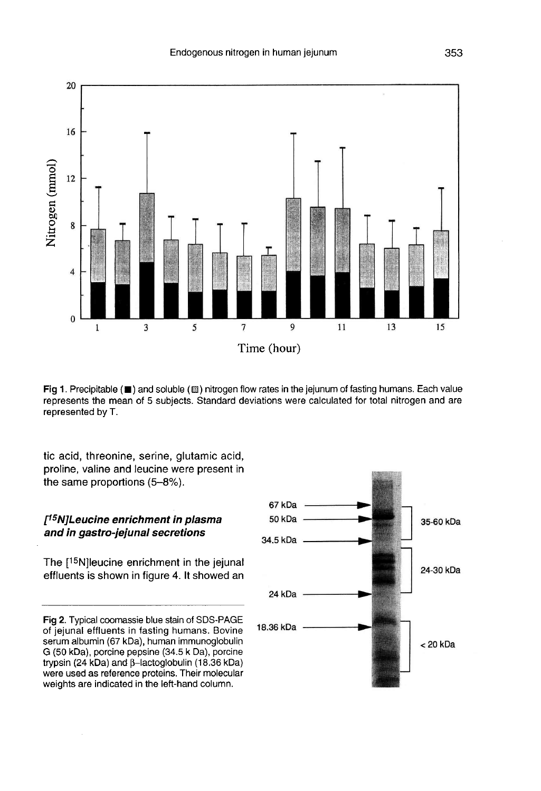

Fig 1. Precipitable ( $\blacksquare$ ) and soluble ( $\boxtimes$ ) nitrogen flow rates in the jejunum of fasting humans. Each value represents the mean of 5 subjects. Standard deviations were calculated for total nitrogen and are represented by T.

tic acid, threonine, serine, glutamic acid, proline, valine and leucine were present in the same proportions (5-8%).

# f'5NJLeucine enrichment in plasma and in gastro-jejunal secretions

The [15N]leucine enrichment in the jejunal effluents is shown in figure 4. It showed an

Fig 2. Typical coomassie blue stain of SDS-PAGE of jejunal effluents in fasting humans. Bovine serum albumin (67 kDa), human immunoglobulin G (50 kDa), porcine pepsine (34.5 k Da), porcine trypsin (24 kDa) and β-lactoglobulin (18.36 kDa) were used as reference proteins. Their molecular weights are indicated in the left-hand column.

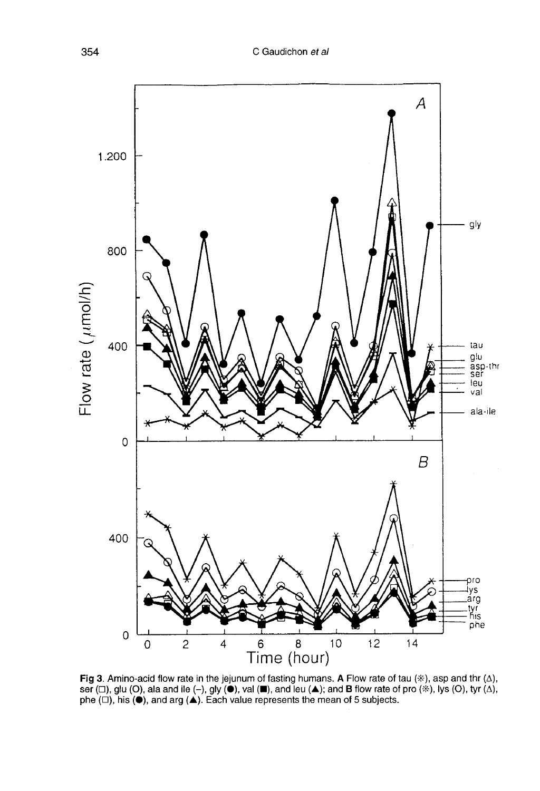

**Fig 3**. Amino-acid flow rate in the jejunum of fasting humans. A Flow rate of tau (\*), asp and thr ( $\Delta$ ), ser ( $\Box$ ), glu (O), ala and ile (-), gly (●), val (■), and leu (▲); and B flow rate of pro (\*), lys (O), tyr (phe  $(\square)$ , his  $(\bullet)$ , and arg  $(\triangle)$ . Each value represents the mean of 5 subjects.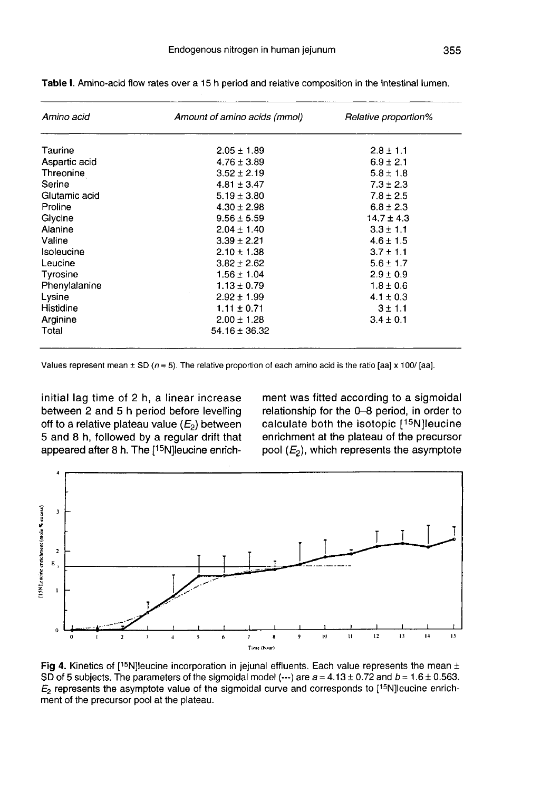| Amino acid    | Amount of amino acids (mmol) | Relative proportion% |  |
|---------------|------------------------------|----------------------|--|
| Taurine       | $2.05 \pm 1.89$              | $2.8 \pm 1.1$        |  |
| Aspartic acid | $4.76 \pm 3.89$              | $6.9 \pm 2.1$        |  |
| Threonine     | $3.52 \pm 2.19$              | $5.8 \pm 1.8$        |  |
| Serine        | $4.81 \pm 3.47$              | $7.3 \pm 2.3$        |  |
| Glutamic acid | $5.19 \pm 3.80$              | $7.8 \pm 2.5$        |  |
| Proline       | $4.30 \pm 2.98$              | $6.8 \pm 2.3$        |  |
| Glycine       | $9.56 \pm 5.59$              | $14.7 \pm 4.3$       |  |
| Alanine       | $2.04 \pm 1.40$              | $3.3 \pm 1.1$        |  |
| Valine        | $3.39 \pm 2.21$              | $4.6 \pm 1.5$        |  |
| Isoleucine    | $2.10 \pm 1.38$              | $3.7 \pm 1.1$        |  |
| Leucine       | $3.82 \pm 2.62$              | $5.6 \pm 1.7$        |  |
| Tyrosine      | $1.56 \pm 1.04$              | $2.9 \pm 0.9$        |  |
| Phenylalanine | $1.13 \pm 0.79$              | $1.8 \pm 0.6$        |  |
| Lysine        | $2.92 \pm 1.99$              | $4.1 \pm 0.3$        |  |
| Histidine     | $1.11 \pm 0.71$              | $3 \pm 1.1$          |  |
| Arginine      | $2.00 \pm 1.28$              | $3.4 \pm 0.1$        |  |
| Total         | $54.16 \pm 36.32$            |                      |  |

Table I. Amino-acid flow rates over a 15 h period and relative composition in the intestinal lumen.

initial lag time of 2 h, a linear increase between 2 and 5 h period before levelling between 2 and 5 h period before levelling<br>off to a relative plateau value (E<sub>2</sub>) between<br>E and 8 h tellswed by a results drift that 5 and 8 h, followed by a regular drift that appeared after 8 h. The  $[15N]$ leucine enrichinitial lag time of 2 h, a linear increase<br>between 2 and 5 h period before levelling<br>off to a relative plateau value ( $E_2$ ) between<br>5 and 8 h, followed by a regular drift that<br>appeared after 8 h. The [<sup>15</sup>N]leucine enric

ment was fitted according to a sigmoidal relationship for the 0-8 period, in order to calculate both the isotopic  $[15N]$ leucine of each amino acid is the ratio [aa] x 100/ [aa].<br>
ment was fitted according to a sigmoidal<br>
relationship for the 0–8 period, in order to<br>
calculate both the isotopic [<sup>15</sup>N] leucine<br>
enrichment at the plateau of the prec



Fig 4. Kinetics of [15N] leucine incorporation in jejunal effluents. Each value represents the mean  $\pm$ SD of 5 subjects. The parameters of the sigmoidal model (---) are  $a = 4.13 \pm 0.72$  and  $b = 1.6 \pm 0.563$ .  $E_2$  represents the asymptote value of the sigmoidal curve and corresponds to [15N] leucine enrichment of the precursor pool at the plateau.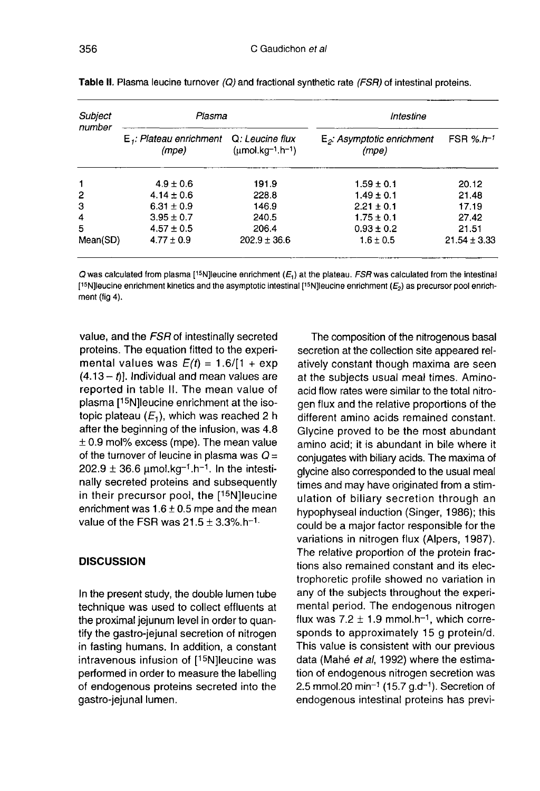| Subject<br>number | Plasma                              |                                                                                | Intestine                              |                                 |
|-------------------|-------------------------------------|--------------------------------------------------------------------------------|----------------------------------------|---------------------------------|
|                   | $E_i$ : Plateau enrichment<br>(mpe) | Q: Leucine flux<br>$(\mu \text{mol} \cdot \text{kg}^{-1} \cdot \text{h}^{-1})$ | $E_2$ : Asymptotic enrichment<br>(mpe) | FSR $\frac{6.}{1}$ <sup>1</sup> |
| 1                 | $4.9 \pm 0.6$                       | 191.9                                                                          | $1.59 \pm 0.1$                         | 20.12                           |
| $\overline{c}$    | $4.14 \pm 0.6$                      | 228.8                                                                          | $1.49 \pm 0.1$                         | 21.48                           |
| з                 | $6.31 \pm 0.9$                      | 146.9                                                                          | $2.21 \pm 0.1$                         | 17.19                           |
| $\overline{4}$    | $3.95 \pm 0.7$                      | 240.5                                                                          | $1.75 \pm 0.1$                         | 27.42                           |
| 5                 | $4.57 \pm 0.5$                      | 206.4                                                                          | $0.93 \pm 0.2$                         | 21.51                           |
| Mean(SD)          | $4.77 \pm 0.9$                      | $202.9 \pm 36.6$                                                               | $1.6 \pm 0.5$                          | $21.54 \pm 3.33$                |

Table II. Plasma leucine turnover (Q) and fractional synthetic rate (FSR) of intestinal proteins.

 $Q$  was calculated from plasma [<sup>15</sup>N]leucine enrichment ( $E<sub>1</sub>$ ) at the plateau. FSR was calculated from the intestinal [15N] leucine enrichment kinetics and the asymptotic intestinal [15N] leucine enrichment  $(E_2)$  as precursor pool enrichment (fig 4).

value, and the FSR of intestinally secreted proteins. The equation fitted to the experimental values was  $E(t) = 1.6/(1 + \exp t)$  $(4.13 - t)$ ]. Individual and mean values are reported in table II. The mean value of plasma [<sup>15</sup>N]leucine enrichment at the isoreported in table II. The mean value of<br>plasma [<sup>15</sup>N]leucine enrichment at the iso-<br>topic plateau ( $E_1$ ), which was reached 2 h<br>after the beginning of the infusion, was 4.8<br> $\pm$  0.9 mol% excess (mpe). The mean value<br>of after the beginning of the infusion, was 4.8 ± 0.9 mol% excess (mpe). The mean value of the turnover of leucine in plasma was  $Q = 202.9 \pm 36.6 \mu \text{mol} \cdot \text{kg}^{-1} \cdot \text{h}^{-1}$ . In the intestinally secreted proteins and subsequently<br>in their precursor pool, the [<sup>15</sup>N]leucine after the beginning of the infusion, was 4.8<br>  $\pm$  0.9 mol% excess (mpe). The mean value<br>
of the turnover of leucine in plasma was  $Q =$ <br>
202.9  $\pm$  36.6 µmol.kg<sup>-1</sup>.h<sup>-1</sup>. In the intesti-<br>
mally secreted proteins and subs  $202.9 \pm 36.6$   $\mu$ mol.kg  $^{1}$ . The find rally secreted proteins and subseque<br>in their precursor pool, the [<sup>15</sup>N]leud<br>enrichment was  $1.6 \pm 0.5$  mpe and the m<br>value of the FSR was  $21.5 \pm 3.3\%$ .h<sup>-1.</sup>

#### **DISCUSSION**

In the present study, the double lumen tube technique was used to collect effluents at the proximal jejunum level in order to quantify the gastro-jejunal secretion of nitrogen in fasting humans. In addition, a constant intravenous infusion of  $[15N]$  leucine was In the present study, the double lumen tube<br>technique was used to collect effluents at<br>the proximal jejunum level in order to quan-<br>tify the gastro-jejunal secretion of nitrogen<br>in fasting humans. In addition, a constant<br>i performed in order to measure the labelling of endogenous proteins secreted into the gastro-jejunal lumen.

The composition of the nitrogenous basal secretion at the collection site appeared relatively constant though maxima are seen at the subjects usual meal times. Aminoacid flow rates were similar to the total nitrogen flux and the relative proportions of the different amino acids remained constant. Glycine proved to be the most abundant amino acid; it is abundant in bile where it conjugates with biliary acids. The maxima of glycine also corresponded to the usual meal times and may have originated from a stimulation of biliary secretion through an hypophyseal induction (Singer, 1986); this could be a major factor responsible for the variations in nitrogen flux (Alpers, 1987). The relative proportion of the protein fractions also remained constant and its electrophoretic profile showed no variation in any of the subjects throughout the experimental period. The endogenous nitrogen<br>flux was  $7.2 \pm 1.9$  mmol.h-<sup>1</sup>, which corretions also remained constant and its electrophoretic profile showed no variation in<br>any of the subjects throughout the experi-<br>mental period. The endogenous nitrogen<br>flux was 7.2  $\pm$  1.9 mmol.h<sup>-1</sup>, which corre-<br>sponds t sponds to approximately 15 g protein/d. This value is consistent with our previous data (Mahé et al, 1992) where the estimation of endogenous nitrogen secretion was data (Mahé *et al*, 1992) where the estima-<br>tion of endogenous nitrogen secretion was<br>2.5 mmol.20 min<sup>-1</sup> (15.7 g.d<sup>-1</sup>). Secretion of<br>endogenous intestinal proteins has previendogenous intestinal proteins has previ-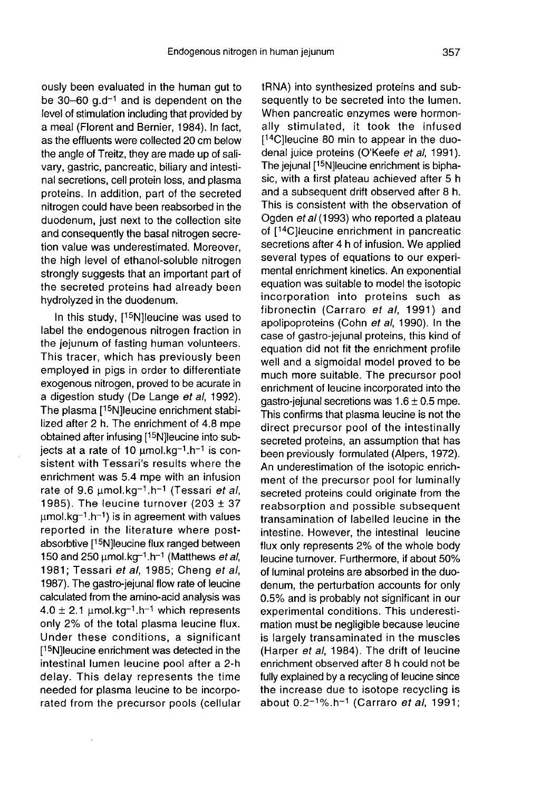ously been evaluated in the human gut to be 30-60  $q.d^{-1}$  and is dependent on the level of stimulation including that provided by a meal (Florent and Bernier, 1984). In fact, as the effluents were collected 20 cm below the angle of Treitz, they are made up of salivary, gastric, pancreatic, biliary and intestinal secretions, cell protein loss, and plasma proteins. In addition, part of the secreted nitrogen could have been reabsorbed in the duodenum, just next to the collection site and consequently the basal nitrogen secretion value was underestimated. Moreover, the high level of ethanol-soluble nitrogen strongly suggests that an important part of the secreted proteins had already been hydrolyzed in the duodenum.

In this study,  $[15N]$ leucine was used to label the endogenous nitrogen fraction in the jejunum of fasting human volunteers. This tracer, which has previously been employed in pigs in order to differentiate exogenous nitrogen, proved to be acurate in a digestion study (De Lange et al, 1992).<br>The plasma [<sup>15</sup>N]leucine enrichment stabithe jejunum of fasting numan volunteers.<br>This tracer, which has previously been<br>employed in pigs in order to differentiate<br>exogenous nitrogen, proved to be acurate in<br>a digestion study (De Lange *et al*, 1992).<br>The plasma lized after 2 h. The enrichment of 4.8 mpe employed in pigs in otder to dimerentiate<br>exogenous nitrogen, proved to be acurate in<br>a digestion study (De Lange *et al.*, 1992).<br>The plasma [<sup>15</sup>N]leucine enrichment stabi-<br>lized after 2 h. The enrichment of 4.8 mpe<br>obt sistent with Tessari's results where the enrichment was 5.4 mpe with an infusion rate of 9.6  $\mu$ mol. $\text{ka}^{-1}$ . Tessari *et al.* The plasma [<sup>15</sup>N]leucine enrichment stabi-<br>lized after 2 h. The enrichment of 4.8 mpe<br>obtained after infusing [<sup>15</sup>N]leucine into sub-<br>jects at a rate of 10  $\mu$ mol.kg<sup>-1</sup>.h<sup>-1</sup> is con-<br>sistent with Tessari's results whe 1985). The leucine turnover (203  $\pm$  37 obtained after infusing [<sup>15</sup>N]leucine into sub-<br>jects at a rate of 10  $\mu$ mol.kg-1.h-1 is consistent with Tessari's results where the<br>enrichment was 5.4 mpe with an infusion<br>rate of 9.6  $\mu$ mol.kg-1.h-1 (Tessari *et al.* reported in the literature where post-<br>absorbtive [15N] leucine flux ranged between Finally was 3.4 life with an infusion<br>rate of 9.6  $\mu$ mol.kg<sup>-1</sup>.h<sup>-1</sup> (Tessari *et al.*<br>1985). The leucine turnover (203 ± 37<br> $\mu$ mol.kg<sup>-1</sup>.h<sup>-1</sup>) is in agreement with values<br>reported in the literature where post-<br>absor 1981; Tessari et al, 1985; Cheng et al, 1987). The gastro-jejunal flow rate of leucine calculated from the amino-acid analysis was<br> $4.0 \pm 2.1 \mu \text{mol} \cdot \text{kg}^{-1} \cdot \text{h}^{-1}$  which represents 150 and 250  $\mu$ mol.kg<sup>-1</sup>.h<sup>-1</sup> (Matthews *et al*, only 2% of the total plasma leucine flux. Under  $[367]$ . The graduated friends of  $4.0 \pm 2.1$   $\mu$ <br>only 2% of Under the  $[15N]$ leucine intestinal  $\mu$ these conditions, a significant only 2% of the total plasma leucine flux.<br>Under these conditions, a significant<br>[<sup>15</sup>N]leucine enrichment was detected in the<br>intestinal lumen leucine pool after a 2-h intestinal lumen leucine pool after a 2-h delay. This delay represents the time needed for plasma leucine to be incorporated from the precursor pools (cellular

tRNA) into synthesized proteins and subsequently to be secreted into the lumen. When pancreatic enzymes were hormonally stimulated, it took the infused tRNA) into synthesized proteins and sub-<br>sequently to be secreted into the lumen.<br>When pancreatic enzymes were hormon-<br>ally stimulated, it took the infused<br>[<sup>14</sup>C]leucine 80 min to appear in the duo-<br>denal juice proteins ( When pancreatic enzymes were hormon-<br>ally stimulated, it took the infused<br>[<sup>14</sup>C]leucine 80 min to appear in the duo-<br>denal juice proteins (O'Keefe *et al*, 1991) The jejunal [<sup>15</sup>N]leucine enrichment is biphasic, with a first plateau achieved after 5 h and a subsequent drift observed after 8 h. This is consistent with the observation of Ogden *et al* (1993) who reported a plateau<br>of [<sup>14</sup>C]leucine enrichment in pancreatic The jejunal [<sup>15</sup>N]leucine enrichment is biphasic, with a first plateau achieved after 5 h and a subsequent drift observed after 8 h.<br>This is consistent with the observation of Ogden *et al* (1993) who reported a plateau secretions after 4 h of infusion. We applied several types of equations to our experimental enrichment kinetics. An exponential equation was suitable to model the isotopic incorporation into proteins such as fibronectin (Carraro et al, 1991) and apolipoproteins (Cohn et al, 1990). In the case of gastro-jejunal proteins, this kind of equation did not fit the enrichment profile well and a sigmoidal model proved to be much more suitable. The precursor pool enrichment of leucine incorporated into the gastro-jejunal secretions was  $1.6 \pm 0.5$  mpe. This confirms that plasma leucine is not the direct precursor pool of the intestinally secreted proteins, an assumption that has been previously formulated (Alpers, 1972). An underestimation of the isotopic enrichment of the precursor pool for luminally secreted proteins could originate from the reabsorption and possible subsequent transamination of labelled leucine in the intestine. However, the intestinal leucine flux only represents 2% of the whole body leucine turnover. Furthermore, if about 50% of luminal proteins are absorbed in the duodenum, the perturbation accounts for only 0.5% and is probably not significant in our experimental conditions. This underestimation must be negligible because leucine is largely transaminated in the muscles (Harper et al, 1984). The drift of leucine enrichment observed after 8 h could not be fully explained by a recycling of leucine since the increase due to isotope recycling is about  $0.2^{-1}$ %.h<sup>-1</sup> (Carraro et al, 1991;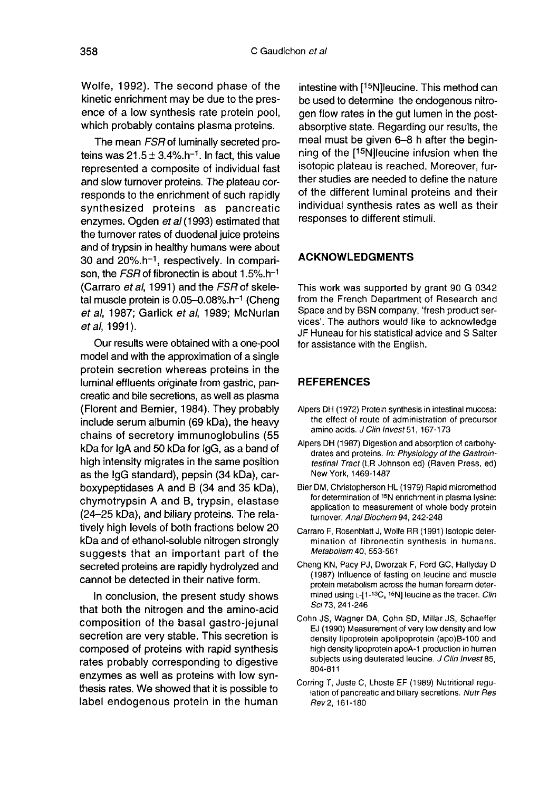Wolfe, 1992). The second phase of the kinetic enrichment may be due to the preswhich probably contains plasma proteins.

ence of a low synthesis rate protein pool,<br>
which probably contains plasma proteins.<br>
The mean *FSR* of luminally secreted pro-<br>
teins was  $21.5 \pm 3.4\%$ . h<sup>-1</sup>. In fact, this value<br>
represented a composite of individual The mean *FSR* of luminally secreted pro-<br>teins was  $21.5 + 3.4\%$ . h<sup>-1</sup>, In fact, this value represented a composite of individual fast and slow turnover proteins. The plateau corresponds to the enrichment of such rapidly synthesized proteins as pancreatic enzymes. Ogden et al (1993) estimated that the turnover rates of duodenal juice proteins and of trypsin in healthy humans were about by interests of divergence of all (1993) estimated that<br>the turnover rates of duodenal juice proteins<br>and of trypsin in healthy humans were about<br>30 and 20%.h<sup>-1</sup>, respectively. In compari-<br>son, the *FSR* of fibronectin i the turnover rates of duodenal juice proteins<br>and of trypsin in healthy humans were about<br>30 and 20%.h<sup>-1</sup>, respectively. In compari-<br>son, the *FSR* of fibronectin is about 1.5%.h<sup>-1</sup><br>(Carraro *et al.* 1991) and the *FSR* (Carraro *et al*, 1991) and the  $FSR$  of skele-<br>tal muscle protein is 0.05-0.08%.h<sup>-1</sup> (Cheng by interests of duodenal juice proteins<br>enzymes. Ogden *et al* (1993) estimated that<br>the turnover rates of duodenal juice proteins<br>and of trypsin in healthy humans were about<br>30 and 20%.h<sup>-1</sup>, respectively. In compari-<br>so et al, 1987; Garlick et al, 1989; McNurlan et al, 1991).

Our results were obtained with a one-pool model and with the approximation of a single protein secretion whereas proteins in the luminal effluents originate from gastric, pancreatic and bile secretions, as well as plasma (Florent and Bernier, 1984). They probably include serum albumin (69 kDa), the heavy chains of secretory immunoglobulins (55 kDa for IgA and 50 kDa for IgG, as a band of high intensity migrates in the same position as the IgG standard), pepsin (34 kDa), carboxypeptidases A and B (34 and 35 kDa), chymotrypsin A and B, trypsin, elastase (24-25 kDa), and biliary proteins. The relatively high levels of both fractions below 20 kDa and of ethanol-soluble nitrogen strongly suggests that an important part of the secreted proteins are rapidly hydrolyzed and cannot be detected in their native form.

In conclusion, the present study shows that both the nitrogen and the amino-acid composition of the basal gastro-jejunal secretion are very stable. This secretion is composed of proteins with rapid synthesis rates probably corresponding to digestive enzymes as well as proteins with low synthesis rates. We showed that it is possible to label endogenous protein in the human

C Gaudichon *et al*<br>of the intestine with [<sup>15</sup>N]leucine. This method can be used to determine the endogenous nitrogen flow rates in the gut lumen in the postabsorptive state. Regarding our results, the meal must be given  $6-8$  h after the begin-<br>ning of the  $15$ N]leucine infusion when the intestine with [<sup>15</sup>N]leucine. This method can<br>be used to determine the endogenous nitro-<br>gen flow rates in the gut lumen in the post-<br>absorptive state. Regarding our results, the<br>meal must be given 6–8 h after the begin-<br> isotopic plateau is reached. Moreover, further studies are needed to define the nature of the different luminal proteins and their individual synthesis rates as well as their responses to different stimuli.

## ACKNOWLEDGMENTS

This work was supported by grant 90 G 0342 from the French Department of Research and Space and by BSN company, 'fresh product services'. The authors would like to acknowledge JF Huneau for his statistical advice and S Salter for assistance with the English.

#### REFERENCES

- Alpers DH (1972) Protein synthesis in intestinal mucosa: the effect of route of administration of precursor amino acids. J Clin Invest 51, 167-173
- Alpers DH (1987) Digestion and absorption of carbohy drates and proteins. In: Physiology of the Gastrointestinal Tract (LR Johnson ed) (Raven Press, ed) New York, 1469-1487
- Bier DM, Christopherson HL (1979) Rapid micromethod for determination of 15N enrichment in plasma lysine: application to measurement of whole body protein turnover. Anal Biochem 94, 242-248
- Carraro F, Rosenblatt J, Wolfe RR (1991) Isotopic determination of fibronectin synthesis in humans. Metabolism 40, 553-561
- Cheng KN, Pacy PJ, Dworzak F, Ford GC, Hallyday D (1987) Influence of fasting on leucine and muscle protein metabolism across the human forearm determined using L-[1-13C, 15N] leucine as the tracer. Clin Sci73, 241-246
- Cohn JS, Wagner DA, Cohn SD, Millar JS, Schaeffer EJ (1990) Measurement of very low density and low density lipoprotein apolipoprotein (apo)B-100 and high density lipoprotein apoA-1 production in human subjects using deuterated leucine. J Clin Invest 85, 804-811 1
- Corring T, Juste C, Lhoste EF (1989) Nutritional regulation of pancreatic and biliary secretions. Nutr Res Rev2, 161-180